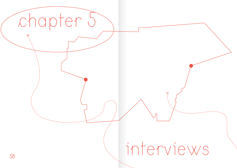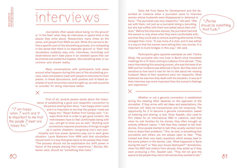Journalists often speak about being 'on the ground' or 'in the field' when they do interviews or spend time in the places they write about. Researchers many times do the same, and people from NGOs as well. While this serves to define a specific part of the storytelling process, it is misleading in the sense that there is no separate 'ground' or 'field' that storytellers suddenly step onto. Interviews, recordings and observations don't take place in an isolated space that can be entered and exited but happen, like everything else, in our common and shared reality.

Many conversations with participants took place around what happens during this part of the storytelling process, when storytellers meet with people to interview for their pieces. In these discussions, both positive and ill-fated examples of such encounters were brought up, as well as points to consider for doing interviews better.

"I am happy when  $\mathcal I$  work and it is important to me that the people  $\mathcal I$  meet are happy too."

First of all, several people spoke about the importance of establishing a good and respectful connection to the person sharing their story. "I am happy when I work and it is important to me that the people I meet are happy too," Rayan Sukkar from Campii said. "I always think that in order to get good content, the interviewees have to feel comfortable being with you, and get to know you as well." Building such connections requires awareness of things brought up in earlier chapters: recognising one's own positionality and how power dynamics play out in each given situation. Laure Makarem from ARM said that storytellers should work in a way that gives back to the people they meet: "The process should not be exploitative but shift power in favour of the people sharing their experience." Stories, Makarem said, should be "something that fuels."

Doha Adi from Sawa for Development and Aid described an instance when a journalist came to interview women whose husbands were disappeared or detained in Syria. "The journalist was very respectful," Adi said. "She sat with them, not just as a journalist doing a recording, but she had coffee with them and asked about their children." Before the interview started, the journalist had told the women to only share what they were comfortable with, and that they could ask to remove anything afterwards if they changed their mind. "It was more of a chat, and it was edited in a way so that the women were telling their own stories. It is important to build bridges in this way," Adi said. scribed an instance when a journalist came to interview<br>women whose husbands were disappeared or detained in<br>Syria. "The journalist was very respectful," Adi said. "She

> Participants gave opposite examples as well. Fatima Alhaji, the journalist who now lives in Berlin once translated meetings for a TV-team coming to Lebanon from abroad. "They were interviewing this amazing woman, she was the head of an NGO and her husband was detained in Syria. But they were not sensitive to how hard it was for her to talk about her missing husband. Many of their questions were not respectful. What bothered me was how they dealt with the situation. It was as if their interview was more important than the woman's feelings and experience."

 $\delta\bigcirc$  space to the people they met to tell stories they wanted to tell."  $\delta\mathcal{A}$ Whether or not a genuine connection is established during the meeting often depends on the approach of the storyteller. If they arrive with set ideas and expectations, the interview will likely be transactional and not reciprocal. The opportunity for it to become a genuine conversation, based on listening and sharing, is lost. Omar Saadeh, who used to film videos for an international NGO in Lebanon, said that when he met families for his stories, they often brought up entirely different topics: "I felt that they needed to tell their stories. Once people started to talk they usually wanted more time to share their problems." This, he said, is something that journalists and others are not always open to hear. "They instead ask them very basic questions which always lead to the same pattern in the stories. Like, 'What happened in Syria during the war?' or 'Was your house destroyed?'" Sometimes, when his NGO had visitors from abroad, they acted as if they were producing a film, Saadeh said. "They did not give the

should be something that fuels.»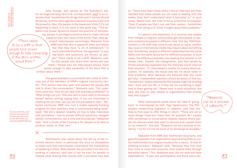"There needs to be a shift so that people have power enough to take ownership of the story written Gary Younge, who served as The Guardian's editor-at-large and long-term U.S. correspondent, <u>said</u><sup>9</sup> in an interview that "sometimes the things that aren't stories should be stories, and the news agenda is skewed towards power and the powerful. Also, the people in the newsroom think if it's not happening to them, it is not news in the same way." This explains how power dynamics impact the practice of storytelling: people in privileged positions tend to make choices based on their own views of the world. Then, they approach interviewees accordingly. Makarem from ARM said that this is apparent when journalists feel that they have "a lot of entitlement." In such interview situations, the approach "is very top-down and questions are thrown at people." There needs to be a shift, Makarem said, "so that people who share their stories still own them." People who are interviewed should "have power enough to take ownership of the story that is written about them."

> One good example is a journalist who came to interview one of the members of ARM's migrant community center. "This person was very open and wanted the people she met to direct the conversation," Makarem said. "Her questions were like, 'How do you deal with everyday problems?' or 'What brings you joy?' She also sent a voice note to introduce herself before coming, saying that, 'If you are interested in chatting we can chat, but you are not prompted to talk,'" Makarem continued. ARM now runs a media capacity-building program for their members that is continuously being developed. "We did a session recently on how to take interviews with journalists – how to answer difficult questions, navigate certain conversations, set a tone and boundaries," Makarem said. "And a chunk of the training is for people to be able to produce media on their own."

9 | www.thehindu.com/ opinion/interview/thefurther-you-are-frompower-the-more-yousee/article30925158.ece

about them.»

 $62$  foresee what sharing their stories with a journalist may lead expectations. "It was very participatory and there was a cer-  $63$ Participants also spoke about the set-up of the interview session itself, in particular the onus on storytellers to make sure that interviewees understand the implications of speaking to them. Abby Sewell, the journalist from the U.S. working in Lebanon, said that it can be hard for people to

to. "There have been times where I did an interview and then realised that these people are not used to dealing with the media, they don't understand what a journalist is." In such cases, Sewell said, she tries to be as protective as possible: "Even if people say that I can use their names, I sometimes refrain from doing so if I think it might cause them problems."

In Lebanon and elsewhere, it is common that people from refugee or migrant communities get interviewed on several occasions by people in different roles. One day, NGO fieldworkers or UN staff may come to ask about an issue; another day, local or international media may inquire about something else. Sometimes, people in different capacities from the same NGOs visit the same family but for different purposes. In such cases, the difference between one meeting and another is not always clear. Saadeh, the videographer, said that people he filmed sometimes expected that the interview would improve their situation. "If I interviewed a mother for a story about education, for example, she would also tell me about water or food problems. Why? Because she believed that she could get help." Independent reporters should be aware of this too. "Sometimes I realise afterwards that people might be thinking that I work with the UN, or if they tell me something it might lead to them getting aid," Sewell said. In such situations, she said, she tries to refer people to organisations that provide help and support.

Other participants spoke about the idea of 'giving back' to interviewees as well. Inga Hajdarowicz, the PhD student researching migration in Lebanon, said that she tries to find ways to offer things in return. "There are not so many things I have but I have time, for example. So I usually offer workshops or conversation classes, spaces where people can discuss what they want to discuss and I update them on my research," she said. "Research can be a process of solidarity. I try for it to be as much of an exchange as possible."

Makarem from ARM also mentioned reciprocity, and gave the example of an organisation approaching them to collect testimonies from migrant workers for a report. "It was an amazing process," Makarem said, "because they first took their time to meet with everyone, then walked them through the entire report." This, Makarem said, did not raise any false expectations. "It was very participatory and there was a cer-

"Research can be a process of solidarity.»